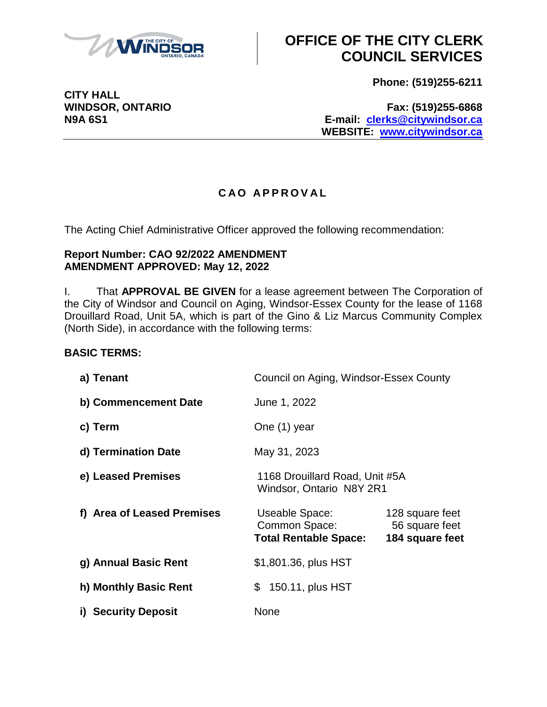

**Phone: (519)255-6211**

**CITY HALL**

**WINDSOR, ONTARIO Fax: (519)255-6868 N9A 6S1 E-mail: [clerks@citywindsor.ca](mailto:clerks@citywindsor.ca) WEBSITE: [www.citywindsor.ca](http://www.citywindsor.ca/)**

### **C A O A P P R O V A L**

The Acting Chief Administrative Officer approved the following recommendation:

#### **Report Number: CAO 92/2022 AMENDMENT AMENDMENT APPROVED: May 12, 2022**

I. That **APPROVAL BE GIVEN** for a lease agreement between The Corporation of the City of Windsor and Council on Aging, Windsor-Essex County for the lease of 1168 Drouillard Road, Unit 5A, which is part of the Gino & Liz Marcus Community Complex (North Side), in accordance with the following terms:

### **BASIC TERMS:**

| a) Tenant                  | Council on Aging, Windsor-Essex County                          |                                                      |
|----------------------------|-----------------------------------------------------------------|------------------------------------------------------|
| b) Commencement Date       | June 1, 2022                                                    |                                                      |
| c) Term                    | One (1) year                                                    |                                                      |
| d) Termination Date        | May 31, 2023                                                    |                                                      |
| e) Leased Premises         | 1168 Drouillard Road, Unit #5A<br>Windsor, Ontario N8Y 2R1      |                                                      |
| f) Area of Leased Premises | Useable Space:<br>Common Space:<br><b>Total Rentable Space:</b> | 128 square feet<br>56 square feet<br>184 square feet |
| g) Annual Basic Rent       | \$1,801.36, plus HST                                            |                                                      |
| h) Monthly Basic Rent      | 150.11, plus HST<br>\$                                          |                                                      |
| i) Security Deposit        | None                                                            |                                                      |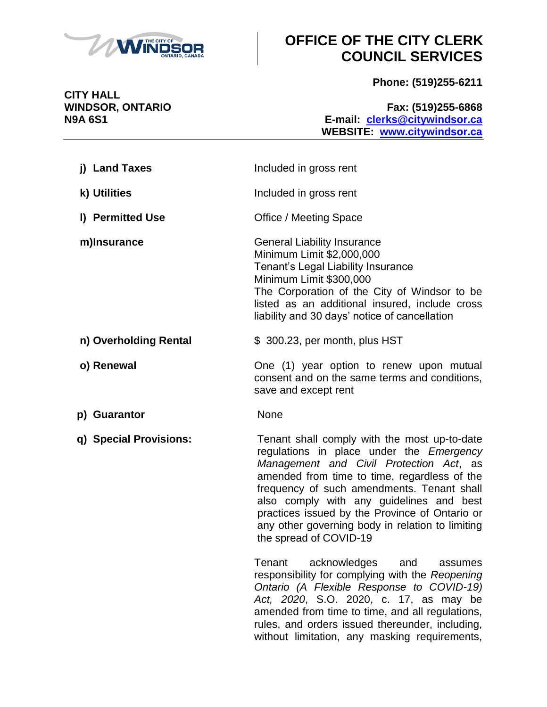

without limitation, any masking requirements,

**Phone: (519)255-6211**

**CITY HALL**

**WINDSOR, ONTARIO Fax: (519)255-6868 N9A 6S1 E-mail: [clerks@citywindsor.ca](mailto:clerks@citywindsor.ca) WEBSITE: [www.citywindsor.ca](http://www.citywindsor.ca/)**

| j) Land Taxes          | Included in gross rent                                                                                                                                                                                                                                                                                                                                                                                        |  |
|------------------------|---------------------------------------------------------------------------------------------------------------------------------------------------------------------------------------------------------------------------------------------------------------------------------------------------------------------------------------------------------------------------------------------------------------|--|
| k) Utilities           | Included in gross rent                                                                                                                                                                                                                                                                                                                                                                                        |  |
| I) Permitted Use       | <b>Office / Meeting Space</b>                                                                                                                                                                                                                                                                                                                                                                                 |  |
| m)Insurance            | <b>General Liability Insurance</b><br>Minimum Limit \$2,000,000<br>Tenant's Legal Liability Insurance<br>Minimum Limit \$300,000<br>The Corporation of the City of Windsor to be<br>listed as an additional insured, include cross<br>liability and 30 days' notice of cancellation                                                                                                                           |  |
| n) Overholding Rental  | \$300.23, per month, plus HST                                                                                                                                                                                                                                                                                                                                                                                 |  |
| o) Renewal             | One (1) year option to renew upon mutual<br>consent and on the same terms and conditions,<br>save and except rent                                                                                                                                                                                                                                                                                             |  |
| p) Guarantor           | <b>None</b>                                                                                                                                                                                                                                                                                                                                                                                                   |  |
| q) Special Provisions: | Tenant shall comply with the most up-to-date<br>regulations in place under the Emergency<br>Management and Civil Protection Act, as<br>amended from time to time, regardless of the<br>frequency of such amendments. Tenant shall<br>also comply with any guidelines and best<br>practices issued by the Province of Ontario or<br>any other governing body in relation to limiting<br>the spread of COVID-19 |  |
|                        | acknowledges<br>Tenant<br>and<br>assumes<br>responsibility for complying with the Reopening<br>Ontario (A Flexible Response to COVID-19)<br>Act, 2020, S.O. 2020, c. 17, as may be<br>amended from time to time, and all regulations,<br>rules, and orders issued thereunder, including,                                                                                                                      |  |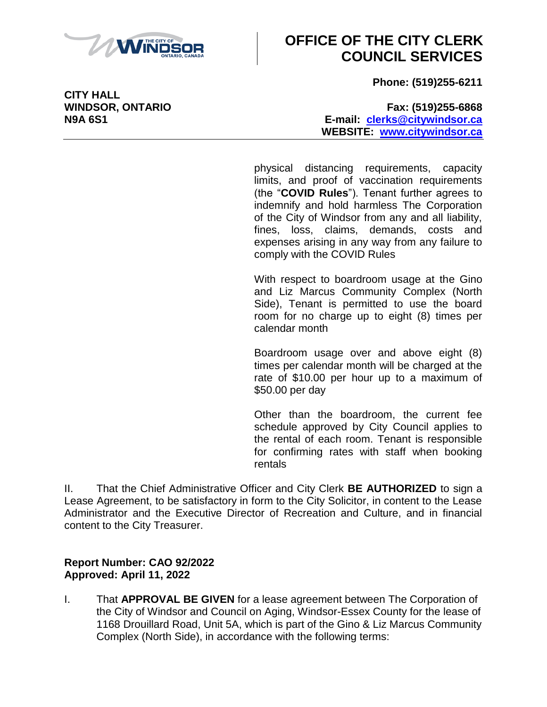

**Phone: (519)255-6211**

**CITY HALL**

**WINDSOR, ONTARIO Fax: (519)255-6868 N9A 6S1 E-mail: [clerks@citywindsor.ca](mailto:clerks@citywindsor.ca) WEBSITE: [www.citywindsor.ca](http://www.citywindsor.ca/)**

> physical distancing requirements, capacity limits, and proof of vaccination requirements (the "**COVID Rules**"). Tenant further agrees to indemnify and hold harmless The Corporation of the City of Windsor from any and all liability, fines, loss, claims, demands, costs and expenses arising in any way from any failure to comply with the COVID Rules

> With respect to boardroom usage at the Gino and Liz Marcus Community Complex (North Side), Tenant is permitted to use the board room for no charge up to eight (8) times per calendar month

> Boardroom usage over and above eight (8) times per calendar month will be charged at the rate of \$10.00 per hour up to a maximum of \$50.00 per day

> Other than the boardroom, the current fee schedule approved by City Council applies to the rental of each room. Tenant is responsible for confirming rates with staff when booking rentals

II. That the Chief Administrative Officer and City Clerk **BE AUTHORIZED** to sign a Lease Agreement, to be satisfactory in form to the City Solicitor, in content to the Lease Administrator and the Executive Director of Recreation and Culture, and in financial content to the City Treasurer.

#### **Report Number: CAO 92/2022 Approved: April 11, 2022**

I. That **APPROVAL BE GIVEN** for a lease agreement between The Corporation of the City of Windsor and Council on Aging, Windsor-Essex County for the lease of 1168 Drouillard Road, Unit 5A, which is part of the Gino & Liz Marcus Community Complex (North Side), in accordance with the following terms: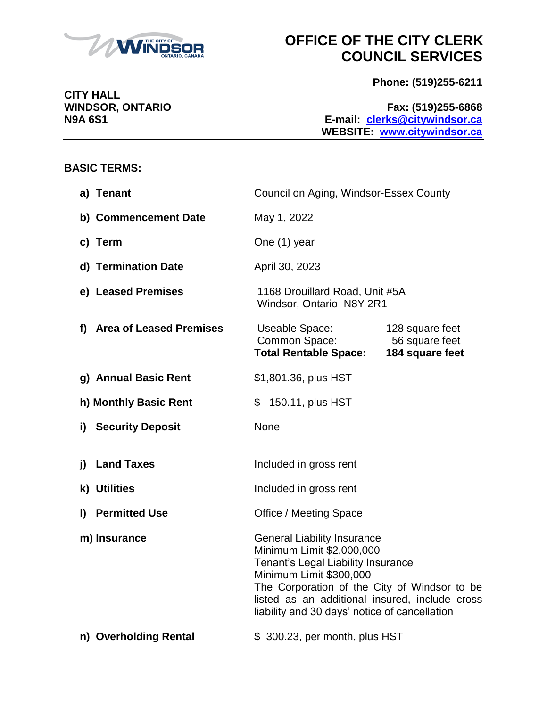

**Phone: (519)255-6211**

**WINDSOR, ONTARIO Fax: (519)255-6868 N9A 6S1 E-mail: [clerks@citywindsor.ca](mailto:clerks@citywindsor.ca) WEBSITE: [www.citywindsor.ca](http://www.citywindsor.ca/)**

### **BASIC TERMS:**

**CITY HALL**

|    | a) Tenant                  | Council on Aging, Windsor-Essex County                                                                                                                                                                                                                                              |                                                      |  |
|----|----------------------------|-------------------------------------------------------------------------------------------------------------------------------------------------------------------------------------------------------------------------------------------------------------------------------------|------------------------------------------------------|--|
|    | b) Commencement Date       | May 1, 2022                                                                                                                                                                                                                                                                         |                                                      |  |
|    | c) Term                    | One (1) year                                                                                                                                                                                                                                                                        |                                                      |  |
|    | d) Termination Date        | April 30, 2023                                                                                                                                                                                                                                                                      |                                                      |  |
|    | e) Leased Premises         | 1168 Drouillard Road, Unit #5A<br>Windsor, Ontario N8Y 2R1                                                                                                                                                                                                                          |                                                      |  |
|    | f) Area of Leased Premises | Useable Space:<br>Common Space:<br><b>Total Rentable Space:</b>                                                                                                                                                                                                                     | 128 square feet<br>56 square feet<br>184 square feet |  |
|    | g) Annual Basic Rent       | \$1,801.36, plus HST                                                                                                                                                                                                                                                                |                                                      |  |
|    | h) Monthly Basic Rent      | \$ 150.11, plus HST                                                                                                                                                                                                                                                                 |                                                      |  |
|    | i) Security Deposit        | None                                                                                                                                                                                                                                                                                |                                                      |  |
| j) | <b>Land Taxes</b>          | Included in gross rent                                                                                                                                                                                                                                                              |                                                      |  |
|    | k) Utilities               | Included in gross rent                                                                                                                                                                                                                                                              |                                                      |  |
|    | I) Permitted Use           | Office / Meeting Space                                                                                                                                                                                                                                                              |                                                      |  |
|    | m) Insurance               | <b>General Liability Insurance</b><br>Minimum Limit \$2,000,000<br>Tenant's Legal Liability Insurance<br>Minimum Limit \$300,000<br>The Corporation of the City of Windsor to be<br>listed as an additional insured, include cross<br>liability and 30 days' notice of cancellation |                                                      |  |
|    | n) Overholding Rental      | \$300.23, per month, plus HST                                                                                                                                                                                                                                                       |                                                      |  |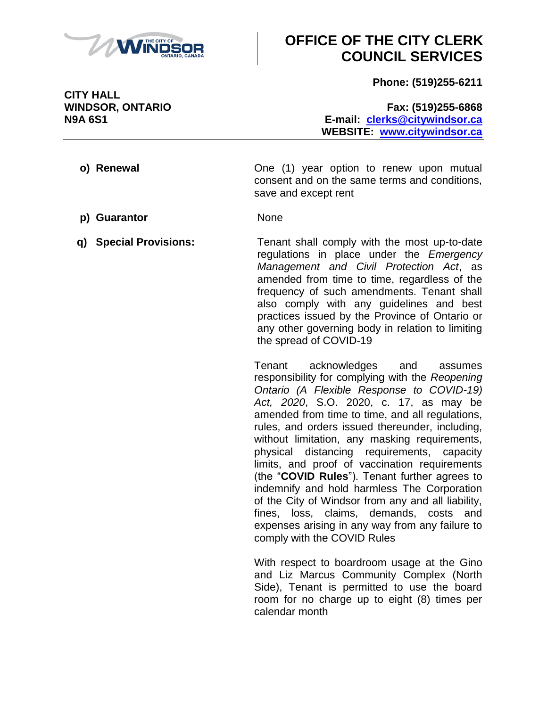

**Phone: (519)255-6211**

**WINDSOR, ONTARIO Fax: (519)255-6868 N9A 6S1 E-mail: [clerks@citywindsor.ca](mailto:clerks@citywindsor.ca) WEBSITE: [www.citywindsor.ca](http://www.citywindsor.ca/)**

- **o) Renewal one** (1) year option to renew upon mutual consent and on the same terms and conditions, save and except rent
- **p) Guarantor** None
- **q) Special Provisions:** Tenant shall comply with the most up-to-date regulations in place under the *Emergency Management and Civil Protection Act*, as amended from time to time, regardless of the frequency of such amendments. Tenant shall also comply with any guidelines and best practices issued by the Province of Ontario or any other governing body in relation to limiting the spread of COVID-19

Tenant acknowledges and assumes responsibility for complying with the *Reopening Ontario (A Flexible Response to COVID-19) Act, 2020*, S.O. 2020, c. 17, as may be amended from time to time, and all regulations, rules, and orders issued thereunder, including, without limitation, any masking requirements, physical distancing requirements, capacity limits, and proof of vaccination requirements (the "**COVID Rules**"). Tenant further agrees to indemnify and hold harmless The Corporation of the City of Windsor from any and all liability, fines, loss, claims, demands, costs and expenses arising in any way from any failure to comply with the COVID Rules

With respect to boardroom usage at the Gino and Liz Marcus Community Complex (North Side), Tenant is permitted to use the board room for no charge up to eight (8) times per calendar month

**CITY HALL**